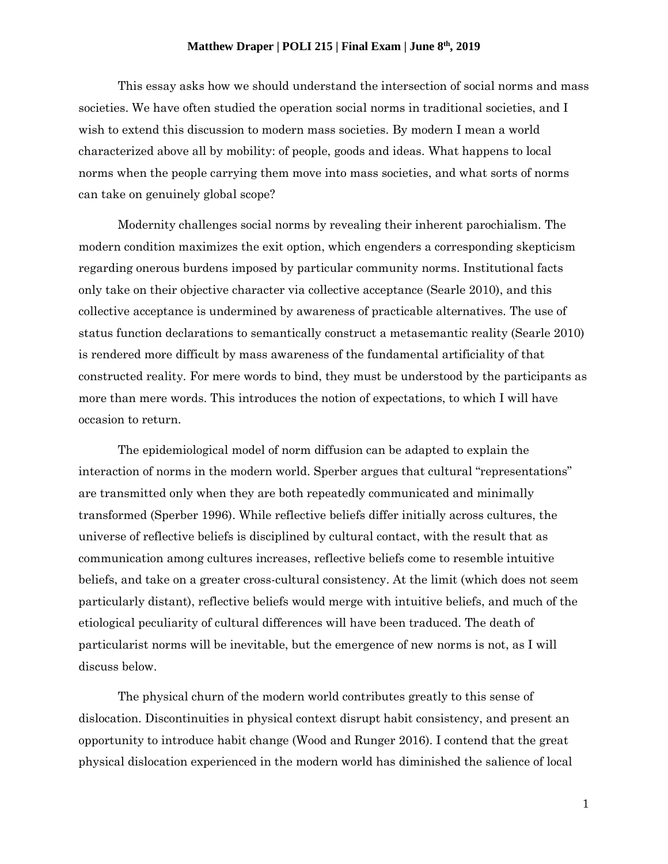## **Matthew Draper | POLI 215 | Final Exam | June 8th, 2019**

This essay asks how we should understand the intersection of social norms and mass societies. We have often studied the operation social norms in traditional societies, and I wish to extend this discussion to modern mass societies. By modern I mean a world characterized above all by mobility: of people, goods and ideas. What happens to local norms when the people carrying them move into mass societies, and what sorts of norms can take on genuinely global scope?

Modernity challenges social norms by revealing their inherent parochialism. The modern condition maximizes the exit option, which engenders a corresponding skepticism regarding onerous burdens imposed by particular community norms. Institutional facts only take on their objective character via collective acceptance (Searle 2010), and this collective acceptance is undermined by awareness of practicable alternatives. The use of status function declarations to semantically construct a metasemantic reality (Searle 2010) is rendered more difficult by mass awareness of the fundamental artificiality of that constructed reality. For mere words to bind, they must be understood by the participants as more than mere words. This introduces the notion of expectations, to which I will have occasion to return.

The epidemiological model of norm diffusion can be adapted to explain the interaction of norms in the modern world. Sperber argues that cultural "representations" are transmitted only when they are both repeatedly communicated and minimally transformed (Sperber 1996). While reflective beliefs differ initially across cultures, the universe of reflective beliefs is disciplined by cultural contact, with the result that as communication among cultures increases, reflective beliefs come to resemble intuitive beliefs, and take on a greater cross-cultural consistency. At the limit (which does not seem particularly distant), reflective beliefs would merge with intuitive beliefs, and much of the etiological peculiarity of cultural differences will have been traduced. The death of particularist norms will be inevitable, but the emergence of new norms is not, as I will discuss below.

The physical churn of the modern world contributes greatly to this sense of dislocation. Discontinuities in physical context disrupt habit consistency, and present an opportunity to introduce habit change (Wood and Runger 2016). I contend that the great physical dislocation experienced in the modern world has diminished the salience of local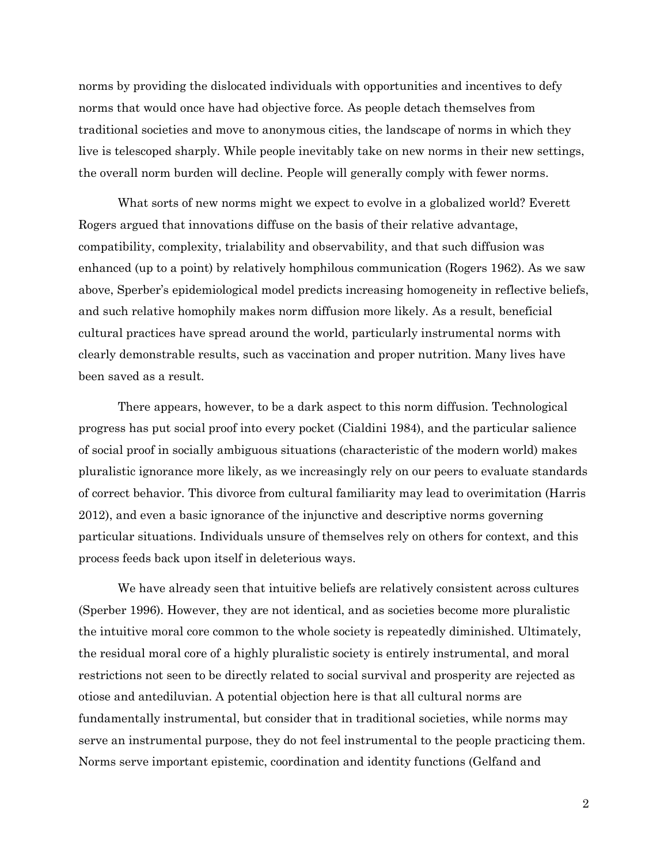norms by providing the dislocated individuals with opportunities and incentives to defy norms that would once have had objective force. As people detach themselves from traditional societies and move to anonymous cities, the landscape of norms in which they live is telescoped sharply. While people inevitably take on new norms in their new settings, the overall norm burden will decline. People will generally comply with fewer norms.

What sorts of new norms might we expect to evolve in a globalized world? Everett Rogers argued that innovations diffuse on the basis of their relative advantage, compatibility, complexity, trialability and observability, and that such diffusion was enhanced (up to a point) by relatively homphilous communication (Rogers 1962). As we saw above, Sperber's epidemiological model predicts increasing homogeneity in reflective beliefs, and such relative homophily makes norm diffusion more likely. As a result, beneficial cultural practices have spread around the world, particularly instrumental norms with clearly demonstrable results, such as vaccination and proper nutrition. Many lives have been saved as a result.

There appears, however, to be a dark aspect to this norm diffusion. Technological progress has put social proof into every pocket (Cialdini 1984), and the particular salience of social proof in socially ambiguous situations (characteristic of the modern world) makes pluralistic ignorance more likely, as we increasingly rely on our peers to evaluate standards of correct behavior. This divorce from cultural familiarity may lead to overimitation (Harris 2012), and even a basic ignorance of the injunctive and descriptive norms governing particular situations. Individuals unsure of themselves rely on others for context, and this process feeds back upon itself in deleterious ways.

We have already seen that intuitive beliefs are relatively consistent across cultures (Sperber 1996). However, they are not identical, and as societies become more pluralistic the intuitive moral core common to the whole society is repeatedly diminished. Ultimately, the residual moral core of a highly pluralistic society is entirely instrumental, and moral restrictions not seen to be directly related to social survival and prosperity are rejected as otiose and antediluvian. A potential objection here is that all cultural norms are fundamentally instrumental, but consider that in traditional societies, while norms may serve an instrumental purpose, they do not feel instrumental to the people practicing them. Norms serve important epistemic, coordination and identity functions (Gelfand and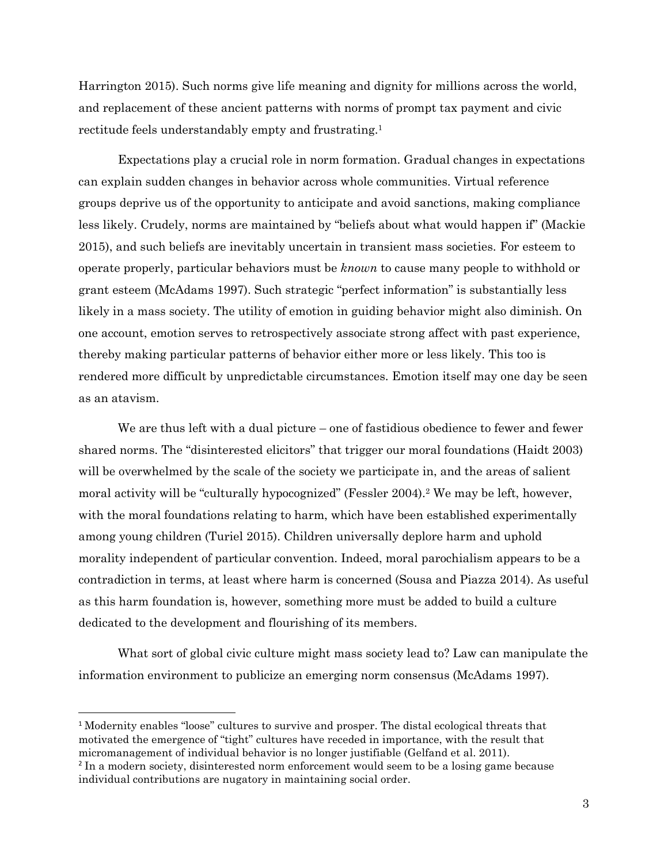Harrington 2015). Such norms give life meaning and dignity for millions across the world, and replacement of these ancient patterns with norms of prompt tax payment and civic rectitude feels understandably empty and frustrating.<sup>1</sup>

Expectations play a crucial role in norm formation. Gradual changes in expectations can explain sudden changes in behavior across whole communities. Virtual reference groups deprive us of the opportunity to anticipate and avoid sanctions, making compliance less likely. Crudely, norms are maintained by "beliefs about what would happen if" (Mackie 2015), and such beliefs are inevitably uncertain in transient mass societies. For esteem to operate properly, particular behaviors must be *known* to cause many people to withhold or grant esteem (McAdams 1997). Such strategic "perfect information" is substantially less likely in a mass society. The utility of emotion in guiding behavior might also diminish. On one account, emotion serves to retrospectively associate strong affect with past experience, thereby making particular patterns of behavior either more or less likely. This too is rendered more difficult by unpredictable circumstances. Emotion itself may one day be seen as an atavism.

We are thus left with a dual picture – one of fastidious obedience to fewer and fewer shared norms. The "disinterested elicitors" that trigger our moral foundations (Haidt 2003) will be overwhelmed by the scale of the society we participate in, and the areas of salient moral activity will be "culturally hypocognized" (Fessler 2004).<sup>2</sup> We may be left, however, with the moral foundations relating to harm, which have been established experimentally among young children (Turiel 2015). Children universally deplore harm and uphold morality independent of particular convention. Indeed, moral parochialism appears to be a contradiction in terms, at least where harm is concerned (Sousa and Piazza 2014). As useful as this harm foundation is, however, something more must be added to build a culture dedicated to the development and flourishing of its members.

What sort of global civic culture might mass society lead to? Law can manipulate the information environment to publicize an emerging norm consensus (McAdams 1997).

<sup>1</sup> Modernity enables "loose" cultures to survive and prosper. The distal ecological threats that motivated the emergence of "tight" cultures have receded in importance, with the result that micromanagement of individual behavior is no longer justifiable (Gelfand et al. 2011).

l

<sup>&</sup>lt;sup>2</sup> In a modern society, disinterested norm enforcement would seem to be a losing game because individual contributions are nugatory in maintaining social order.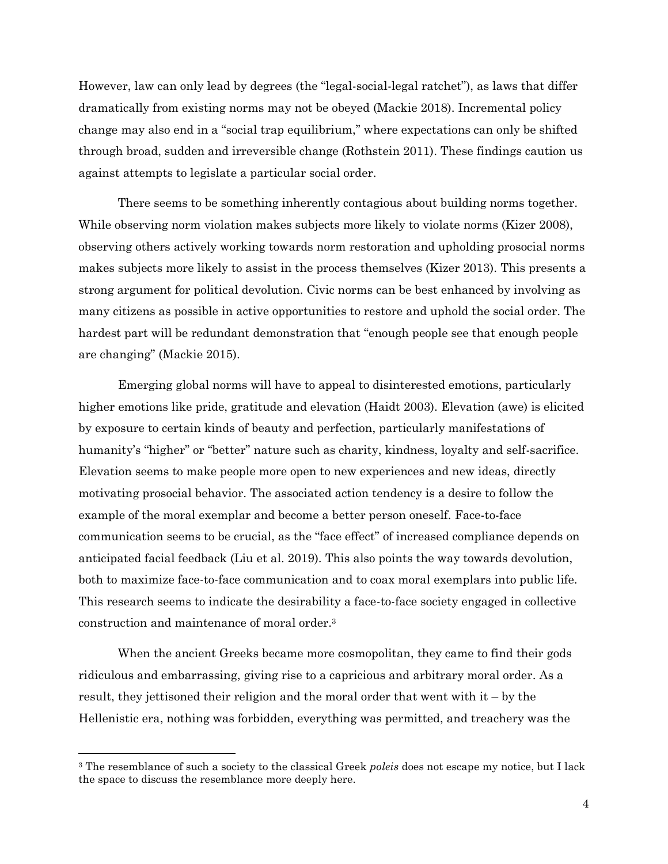However, law can only lead by degrees (the "legal-social-legal ratchet"), as laws that differ dramatically from existing norms may not be obeyed (Mackie 2018). Incremental policy change may also end in a "social trap equilibrium," where expectations can only be shifted through broad, sudden and irreversible change (Rothstein 2011). These findings caution us against attempts to legislate a particular social order.

There seems to be something inherently contagious about building norms together. While observing norm violation makes subjects more likely to violate norms (Kizer 2008), observing others actively working towards norm restoration and upholding prosocial norms makes subjects more likely to assist in the process themselves (Kizer 2013). This presents a strong argument for political devolution. Civic norms can be best enhanced by involving as many citizens as possible in active opportunities to restore and uphold the social order. The hardest part will be redundant demonstration that "enough people see that enough people are changing" (Mackie 2015).

Emerging global norms will have to appeal to disinterested emotions, particularly higher emotions like pride, gratitude and elevation (Haidt 2003). Elevation (awe) is elicited by exposure to certain kinds of beauty and perfection, particularly manifestations of humanity's "higher" or "better" nature such as charity, kindness, loyalty and self-sacrifice. Elevation seems to make people more open to new experiences and new ideas, directly motivating prosocial behavior. The associated action tendency is a desire to follow the example of the moral exemplar and become a better person oneself. Face-to-face communication seems to be crucial, as the "face effect" of increased compliance depends on anticipated facial feedback (Liu et al. 2019). This also points the way towards devolution, both to maximize face-to-face communication and to coax moral exemplars into public life. This research seems to indicate the desirability a face-to-face society engaged in collective construction and maintenance of moral order.<sup>3</sup>

When the ancient Greeks became more cosmopolitan, they came to find their gods ridiculous and embarrassing, giving rise to a capricious and arbitrary moral order. As a result, they jettisoned their religion and the moral order that went with it – by the Hellenistic era, nothing was forbidden, everything was permitted, and treachery was the

 $\overline{\phantom{a}}$ 

<sup>3</sup> The resemblance of such a society to the classical Greek *poleis* does not escape my notice, but I lack the space to discuss the resemblance more deeply here.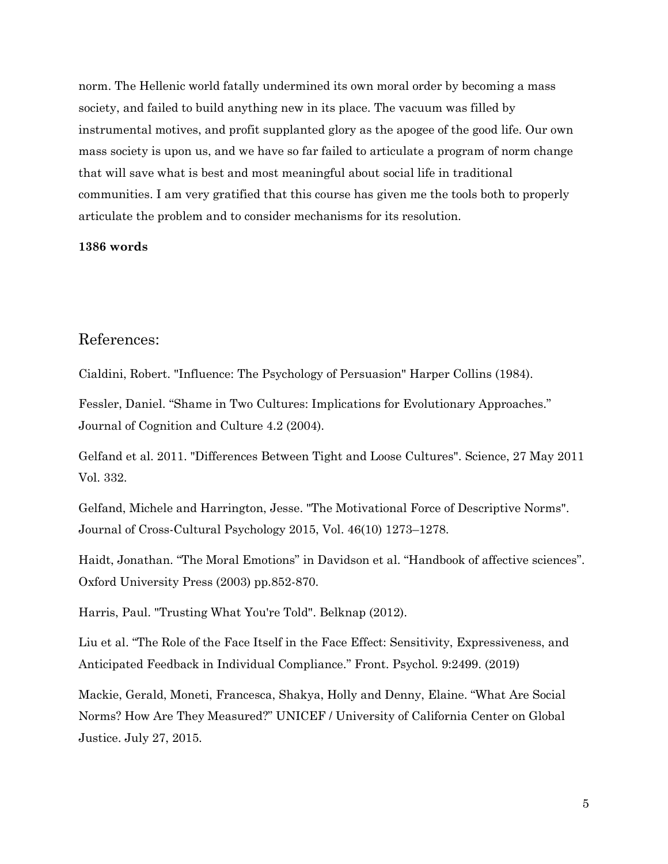norm. The Hellenic world fatally undermined its own moral order by becoming a mass society, and failed to build anything new in its place. The vacuum was filled by instrumental motives, and profit supplanted glory as the apogee of the good life. Our own mass society is upon us, and we have so far failed to articulate a program of norm change that will save what is best and most meaningful about social life in traditional communities. I am very gratified that this course has given me the tools both to properly articulate the problem and to consider mechanisms for its resolution.

## **1386 words**

## References:

Cialdini, Robert. "Influence: The Psychology of Persuasion" Harper Collins (1984).

Fessler, Daniel. "Shame in Two Cultures: Implications for Evolutionary Approaches." Journal of Cognition and Culture 4.2 (2004).

Gelfand et al. 2011. "Differences Between Tight and Loose Cultures". Science, 27 May 2011 Vol. 332.

Gelfand, Michele and Harrington, Jesse. "The Motivational Force of Descriptive Norms". Journal of Cross-Cultural Psychology 2015, Vol. 46(10) 1273–1278.

Haidt, Jonathan. "The Moral Emotions" in Davidson et al. "Handbook of affective sciences". Oxford University Press (2003) pp.852-870.

Harris, Paul. "Trusting What You're Told". Belknap (2012).

Liu et al. "The Role of the Face Itself in the Face Effect: Sensitivity, Expressiveness, and Anticipated Feedback in Individual Compliance." Front. Psychol. 9:2499. (2019)

Mackie, Gerald, Moneti, Francesca, Shakya, Holly and Denny, Elaine. "What Are Social Norms? How Are They Measured?" UNICEF / University of California Center on Global Justice. July 27, 2015.